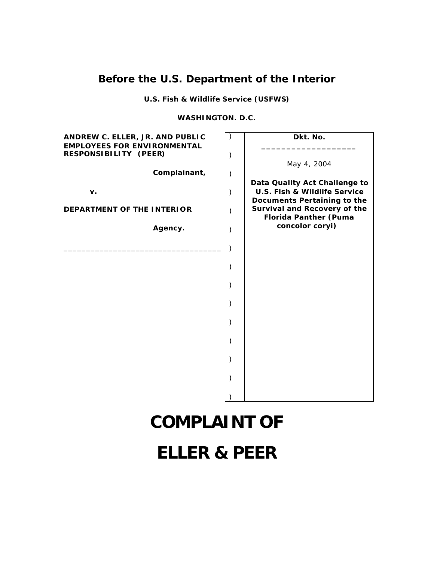## **Before the U.S. Department of the Interior**

**U.S. Fish & Wildlife Service (USFWS)**

## **WASHINGTON. D.C.**

| ANDREW C. ELLER, JR. AND PUBLIC<br><b>EMPLOYEES FOR ENVIRONMENTAL</b> | Dkt. No.                                                                                                |
|-----------------------------------------------------------------------|---------------------------------------------------------------------------------------------------------|
| RESPONSIBILITY (PEER)                                                 | May 4, 2004                                                                                             |
| Complainant,                                                          |                                                                                                         |
| v.                                                                    | Data Quality Act Challenge to<br><b>U.S. Fish &amp; Wildlife Service</b><br>Documents Pertaining to the |
| DEPARTMENT OF THE INTERIOR                                            | <b>Survival and Recovery of the</b><br><b>Florida Panther (Puma</b>                                     |
| Agency.                                                               | concolor coryi)                                                                                         |
|                                                                       |                                                                                                         |
|                                                                       |                                                                                                         |
|                                                                       |                                                                                                         |
|                                                                       |                                                                                                         |
|                                                                       |                                                                                                         |
|                                                                       |                                                                                                         |
|                                                                       |                                                                                                         |
|                                                                       |                                                                                                         |
|                                                                       |                                                                                                         |
|                                                                       |                                                                                                         |

# **COMPLAINT OF**

**ELLER & PEER**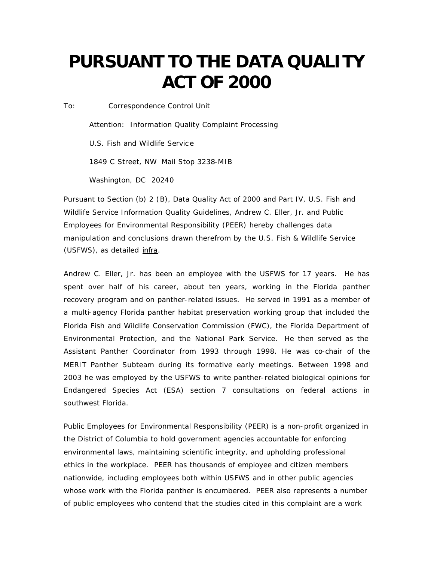# **PURSUANT TO THE DATA QUALITY ACT OF 2000**

*To: Correspondence Control Unit*

*Attention: Information Quality Complaint Processing U.S. Fish and Wildlife Servic e 1849 C Street, NW Mail Stop 3238-MIB Washington, DC 20240*

Pursuant to Section (b) 2 (B), Data Quality Act of 2000 and Part IV, U.S. Fish and Wildlife Service Information Quality Guidelines, Andrew C. Eller, Jr. and Public Employees for Environmental Responsibility (PEER) hereby challenges data manipulation and conclusions drawn therefrom by the U.S. Fish & Wildlife Service (USFWS), as detailed infra.

Andrew C. Eller, Jr. has been an employee with the USFWS for 17 years. He has spent over half of his career, about ten years, working in the Florida panther recovery program and on panther-related issues. He served in 1991 as a member of a multi-agency Florida panther habitat preservation working group that included the Florida Fish and Wildlife Conservation Commission (FWC), the Florida Department of Environmental Protection, and the National Park Service. He then served as the Assistant Panther Coordinator from 1993 through 1998. He was co-chair of the MERIT Panther Subteam during its formative early meetings. Between 1998 and 2003 he was employed by the USFWS to write panther-related biological opinions for Endangered Species Act (ESA) section 7 consultations on federal actions in southwest Florida.

Public Employees for Environmental Responsibility (PEER) is a non-profit organized in the District of Columbia to hold government agencies accountable for enforcing environmental laws, maintaining scientific integrity, and upholding professional ethics in the workplace. PEER has thousands of employee and citizen members nationwide, including employees both within USFWS and in other public agencies whose work with the Florida panther is encumbered. PEER also represents a number of public employees who contend that the studies cited in this complaint are a work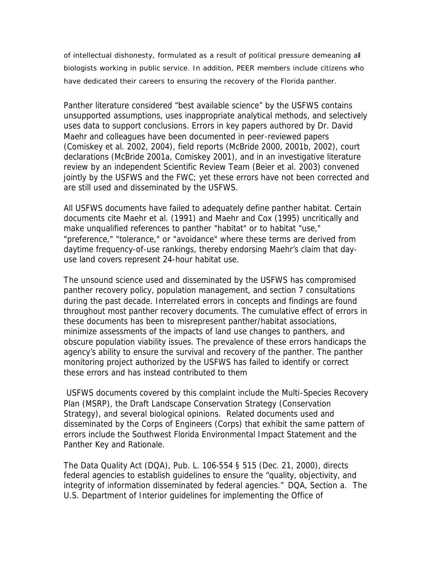of intellectual dishonesty, formulated as a result of political pressure demeaning all biologists working in public service. In addition, PEER members include citizens who have dedicated their careers to ensuring the recovery of the Florida panther.

Panther literature considered "best available science" by the USFWS contains unsupported assumptions, uses inappropriate analytical methods, and selectively uses data to support conclusions. Errors in key papers authored by Dr. David Maehr and colleagues have been documented in peer-reviewed papers (Comiskey et al. 2002, 2004), field reports (McBride 2000, 2001b, 2002), court declarations (McBride 2001a, Comiskey 2001), and in an investigative literature review by an independent Scientific Review Team (Beier et al. 2003) convened jointly by the USFWS and the FWC; yet these errors have not been corrected and are still used and disseminated by the USFWS.

All USFWS documents have failed to adequately define panther habitat. Certain documents cite Maehr et al. (1991) and Maehr and Cox (1995) uncritically and make unqualified references to panther "habitat" or to habitat "use," "preference," "tolerance," or "avoidance" where these terms are derived from daytime frequency-of-use rankings, thereby endorsing Maehr's claim that dayuse land covers represent 24-hour habitat use.

The unsound science used and disseminated by the USFWS has compromised panther recovery policy, population management, and section 7 consultations during the past decade. Interrelated errors in concepts and findings are found throughout most panther recovery documents. The cumulative effect of errors in these documents has been to misrepresent panther/habitat associations, minimize assessments of the impacts of land use changes to panthers, and obscure population viability issues. The prevalence of these errors handicaps the agency's ability to ensure the survival and recovery of the panther. The panther monitoring project authorized by the USFWS has failed to identify or correct these errors and has instead contributed to them

USFWS documents covered by this complaint include the Multi-Species Recovery Plan (MSRP), the Draft Landscape Conservation Strategy (Conservation Strategy), and several biological opinions. Related documents used and disseminated by the Corps of Engineers (Corps) that exhibit the same pattern of errors include the Southwest Florida Environmental Impact Statement and the Panther Key and Rationale.

The Data Quality Act (DQA), Pub. L. 106-554 § 515 (Dec. 21, 2000), directs federal agencies to establish guidelines to ensure the "quality, objectivity, and integrity of information disseminated by federal agencies." DQA, Section a. The U.S. Department of Interior guidelines for implementing the Office of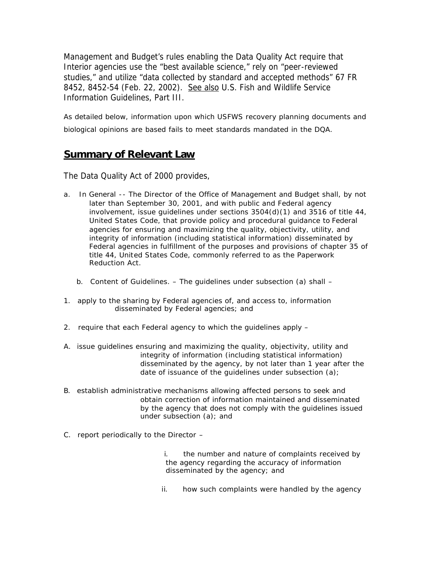Management and Budget's rules enabling the Data Quality Act require that Interior agencies use the "best available science," rely on "peer-reviewed studies," and utilize "data collected by standard and accepted methods" 67 FR 8452, 8452-54 (Feb. 22, 2002). See also U.S. Fish and Wildlife Service Information Guidelines, Part III.

As detailed below, information upon which USFWS recovery planning documents and biological opinions are based fails to meet standards mandated in the DQA.

## **Summary of Relevant Law**

The Data Quality Act of 2000 provides,

- a. In General -- The Director of the Office of Management and Budget shall, by not later than September 30, 2001, and with public and Federal agency involvement, issue quidelines under sections  $3504(d)(1)$  and  $3516$  of title 44, United States Code, that provide policy and procedural guidance to Federal agencies for ensuring and maximizing the quality, objectivity, utility, and integrity of information (including statistical information) disseminated by Federal agencies in fulfillment of the purposes and provisions of chapter 35 of title 44, United States Code, commonly referred to as the Paperwork Reduction Act.
	- b. Content of Guidelines. The guidelines under subsection (a) shall –
- 1. apply to the sharing by Federal agencies of, and access to, information disseminated by Federal agencies; and
- 2. require that each Federal agency to which the guidelines apply –
- A. issue guidelines ensuring and maximizing the quality, objectivity, utility and integrity of information (including statistical information) disseminated by the agency, by not later than 1 year after the date of issuance of the guidelines under subsection (a);
- B. establish administrative mechanisms allowing affected persons to seek and obtain correction of information maintained and disseminated by the agency that does not comply with the guidelines issued under subsection (a); and
- C. report periodically to the Director –

 i. the number and nature of complaints received by the agency regarding the accuracy of information disseminated by the agency; and

ii. how such complaints were handled by the agency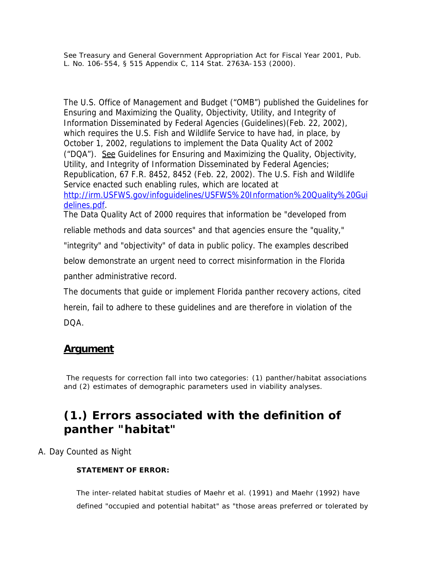*See* Treasury and General Government Appropriation Act for Fiscal Year 2001, Pub. L. No. 106-554, § 515 Appendix C, 114 Stat. 2763A-153 (2000).

The U.S. Office of Management and Budget ("OMB") published the Guidelines for Ensuring and Maximizing the Quality, Objectivity, Utility, and Integrity of Information Disseminated by Federal Agencies (Guidelines)(Feb. 22, 2002), which requires the U.S. Fish and Wildlife Service to have had, in place, by October 1, 2002, regulations to implement the Data Quality Act of 2002 ("DQA"). See Guidelines for Ensuring and Maximizing the Quality, Objectivity, Utility, and Integrity of Information Disseminated by Federal Agencies; Republication, 67 F.R. 8452, 8452 (Feb. 22, 2002). The U.S. Fish and Wildlife Service enacted such enabling rules, which are located at http://irm.USFWS.gov/infoguidelines/USFWS%20Information%20Quality%20Gui delines.pdf. The Data Quality Act of 2000 requires that information be "developed from

reliable methods and data sources" and that agencies ensure the "quality,"

"integrity" and "objectivity" of data in public policy. The examples described

below demonstrate an urgent need to correct misinformation in the Florida panther administrative record.

The documents that guide or implement Florida panther recovery actions, cited herein, fail to adhere to these guidelines and are therefore in violation of the DQA.

## **Argument**

The requests for correction fall into two categories: (1) panther/habitat associations and (2) estimates of demographic parameters used in viability analyses.

## **(1.) Errors associated with the definition of panther "habitat"**

A. Day Counted as Night

## **STATEMENT OF ERROR:**

The inter-related habitat studies of Maehr et al. (1991) and Maehr (1992) have defined "occupied and potential habitat" as "those areas preferred or tolerated by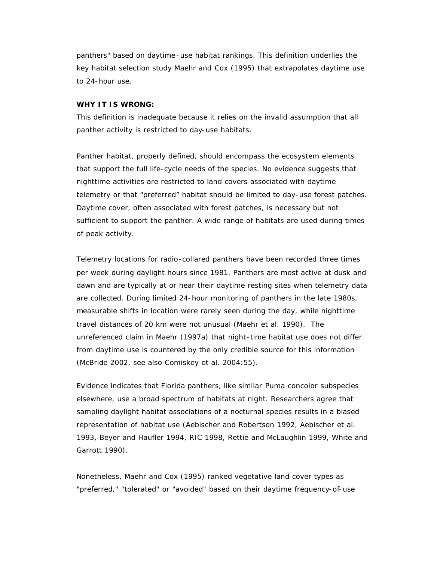panthers" based on daytime -use habitat rankings. This definition underlies the key habitat selection study Maehr and Cox (1995) that extrapolates daytime use to 24-hour use.

#### **WHY IT IS WRONG:**

This definition is inadequate because it relies on the invalid assumption that all panther activity is restricted to day-use habitats.

Panther habitat, properly defined, should encompass the ecosystem elements that support the full life-cycle needs of the species. No evidence suggests that nighttime activities are restricted to land covers associated with daytime telemetry or that "preferred" habitat should be limited to day-use forest patches. Daytime cover, often associated with forest patches, is necessary but not sufficient to support the panther. A wide range of habitats are used during times of peak activity.

Telemetry locations for radio-collared panthers have been recorded three times per week during daylight hours since 1981. Panthers are most active at dusk and dawn and are typically at or near their daytime resting sites when telemetry data are collected. During limited 24-hour monitoring of panthers in the late 1980s, measurable shifts in location were rarely seen during the day, while nighttime travel distances of 20 km were not unusual (Maehr et al. 1990). The unreferenced claim in Maehr (1997a) that night-time habitat use does not differ from daytime use is countered by the only credible source for this information (McBride 2002, see also Comiskey et al. 2004:55).

Evidence indicates that Florida panthers, like similar *Puma concolor* subspecies elsewhere, use a broad spectrum of habitats at night. Researchers agree that sampling daylight habitat associations of a nocturnal species results in a biased representation of habitat use (Aebischer and Robertson 1992, Aebischer et al. 1993, Beyer and Haufler 1994, RIC 1998, Rettie and McLaughlin 1999, White and Garrott 1990).

Nonetheless, Maehr and Cox (1995) ranked vegetative land cover types as "preferred," "tolerated" or "avoided" based on their daytime frequency-of-use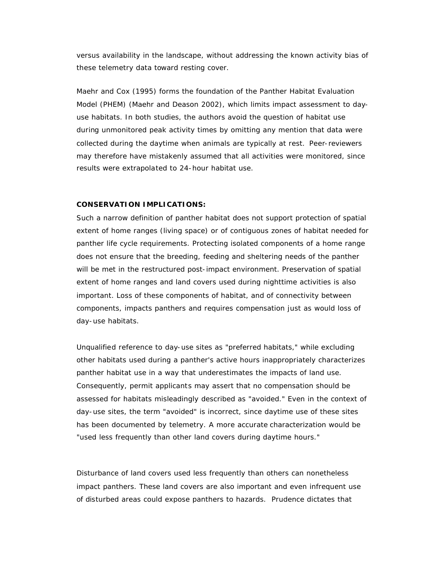versus availability in the landscape, without addressing the known activity bias of these telemetry data toward resting cover.

Maehr and Cox (1995) forms the foundation of the Panther Habitat Evaluation Model (PHEM) (Maehr and Deason 2002), which limits impact assessment to dayuse habitats. In both studies, the authors avoid the question of habitat use during unmonitored peak activity times by omitting any mention that data were collected during the daytime when animals are typically at rest. Peer-reviewers may therefore have mistakenly assumed that all activities were monitored, since results were extrapolated to 24-hour habitat use.

#### **CONSERVATION IMPLICATIONS:**

Such a narrow definition of panther habitat does not support protection of spatial extent of home ranges (living space) or of contiguous zones of habitat needed for panther life cycle requirements. Protecting isolated components of a home range does not ensure that the breeding, feeding and sheltering needs of the panther will be met in the restructured post-impact environment. Preservation of spatial extent of home ranges and land covers used during nighttime activities is also important. Loss of these components of habitat, and of connectivity between components, impacts panthers and requires compensation just as would loss of day-use habitats.

Unqualified reference to day-use sites as "preferred habitats," while excluding other habitats used during a panther's active hours inappropriately characterizes panther habitat use in a way that underestimates the impacts of land use. Consequently, permit applicants may assert that no compensation should be assessed for habitats misleadingly described as "avoided." Even in the context of day-use sites, the term "avoided" is incorrect, since daytime use of these sites has been documented by telemetry. A more accurate characterization would be "used less frequently than other land covers during daytime hours."

Disturbance of land covers used less frequently than others can nonetheless impact panthers. These land covers are also important and even infrequent use of disturbed areas could expose panthers to hazards. Prudence dictates that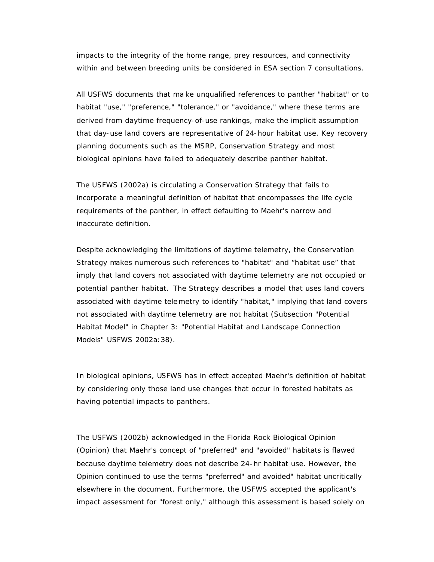impacts to the integrity of the home range, prey resources, and connectivity within and between breeding units be considered in ESA section 7 consultations.

All USFWS documents that ma ke unqualified references to panther "habitat" or to habitat "use," "preference," "tolerance," or "avoidance," where these terms are derived from daytime frequency-of-use rankings, make the implicit assumption that day-use land covers are representative of 24-hour habitat use. Key recovery planning documents such as the MSRP, Conservation Strategy and most biological opinions have failed to adequately describe panther habitat.

The USFWS (2002a) is circulating a Conservation Strategy that fails to incorporate a meaningful definition of habitat that encompasses the life cycle requirements of the panther, in effect defaulting to Maehr's narrow and inaccurate definition.

Despite acknowledging the limitations of daytime telemetry, the Conservation Strategy makes numerous such references to "habitat" and "habitat use" that imply that land covers not associated with daytime telemetry are not occupied or potential panther habitat. The Strategy describes a model that uses land covers associated with daytime telemetry to identify "habitat," implying that land covers not associated with daytime telemetry are not habitat (Subsection "Potential Habitat Model" in Chapter 3: "Potential Habitat and Landscape Connection Models" USFWS 2002a:38).

In biological opinions, USFWS has in effect accepted Maehr's definition of habitat by considering only those land use changes that occur in forested habitats as having potential impacts to panthers.

The USFWS (2002b) acknowledged in the Florida Rock Biological Opinion (Opinion) that Maehr's concept of "preferred" and "avoided" habitats is flawed because daytime telemetry does not describe 24-hr habitat use. However, the Opinion continued to use the terms "preferred" and avoided" habitat uncritically elsewhere in the document. Furthermore, the USFWS accepted the applicant's impact assessment for "forest only," although this assessment is based solely on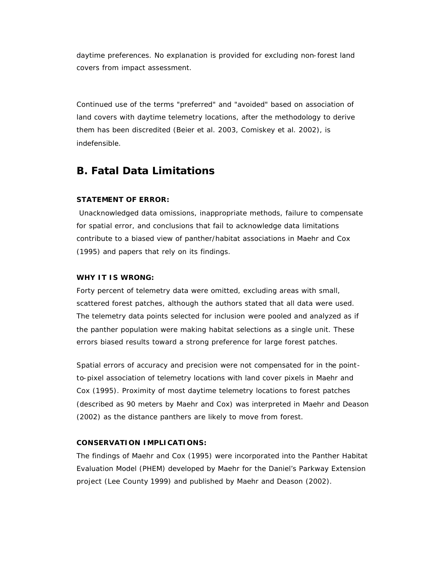daytime preferences. No explanation is provided for excluding non-forest land covers from impact assessment.

Continued use of the terms "preferred" and "avoided" based on association of land covers with daytime telemetry locations, after the methodology to derive them has been discredited (Beier et al. 2003, Comiskey et al. 2002), is indefensible.

## **B. Fatal Data Limitations**

## **STATEMENT OF ERROR:**

Unacknowledged data omissions, inappropriate methods, failure to compensate for spatial error, and conclusions that fail to acknowledge data limitations contribute to a biased view of panther/habitat associations in Maehr and Cox (1995) and papers that rely on its findings.

## **WHY IT IS WRONG:**

Forty percent of telemetry data were omitted, excluding areas with small, scattered forest patches, although the authors stated that all data were used. The telemetry data points selected for inclusion were pooled and analyzed as if the panther population were making habitat selections as a single unit. These errors biased results toward a strong preference for large forest patches.

Spatial errors of accuracy and precision were not compensated for in the pointto-pixel association of telemetry locations with land cover pixels in Maehr and Cox (1995). Proximity of most daytime telemetry locations to forest patches (described as 90 meters by Maehr and Cox) was interpreted in Maehr and Deason (2002) as the distance panthers are likely to move from forest.

## **CONSERVATION IMPLICATIONS:**

The findings of Maehr and Cox (1995) were incorporated into the Panther Habitat Evaluation Model (PHEM) developed by Maehr for the Daniel's Parkway Extension project (Lee County 1999) and published by Maehr and Deason (2002).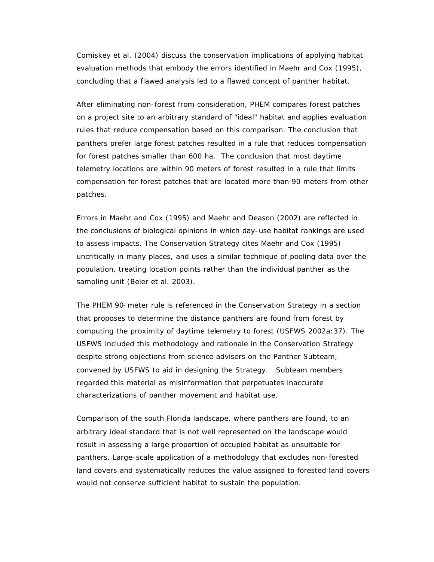Comiskey et al. (2004) discuss the conservation implications of applying habitat evaluation methods that embody the errors identified in Maehr and Cox (1995), concluding that a flawed analysis led to a flawed concept of panther habitat.

After eliminating non-forest from consideration, PHEM compares forest patches on a project site to an arbitrary standard of "ideal" habitat and applies evaluation rules that reduce compensation based on this comparison. The conclusion that panthers prefer large forest patches resulted in a rule that reduces compensation for forest patches smaller than 600 ha. The conclusion that most daytime telemetry locations are within 90 meters of forest resulted in a rule that limits compensation for forest patches that are located more than 90 meters from other patches.

Errors in Maehr and Cox (1995) and Maehr and Deason (2002) are reflected in the conclusions of biological opinions in which day-use habitat rankings are used to assess impacts. The Conservation Strategy cites Maehr and Cox (1995) uncritically in many places, and uses a similar technique of pooling data over the population, treating location points rather than the individual panther as the sampling unit (Beier et al. 2003).

The PHEM 90-meter rule is referenced in the Conservation Strategy in a section that proposes to determine the distance panthers are found from forest by computing the proximity of daytime telemetry to forest (USFWS 2002a:37). The USFWS included this methodology and rationale in the Conservation Strategy despite strong objections from science advisers on the Panther Subteam, convened by USFWS to aid in designing the Strategy. Subteam members regarded this material as misinformation that perpetuates inaccurate characterizations of panther movement and habitat use.

Comparison of the south Florida landscape, where panthers are found, to an arbitrary ideal standard that is not well represented on the landscape would result in assessing a large proportion of occupied habitat as unsuitable for panthers. Large-scale application of a methodology that excludes non-forested land covers and systematically reduces the value assigned to forested land covers would not conserve sufficient habitat to sustain the population.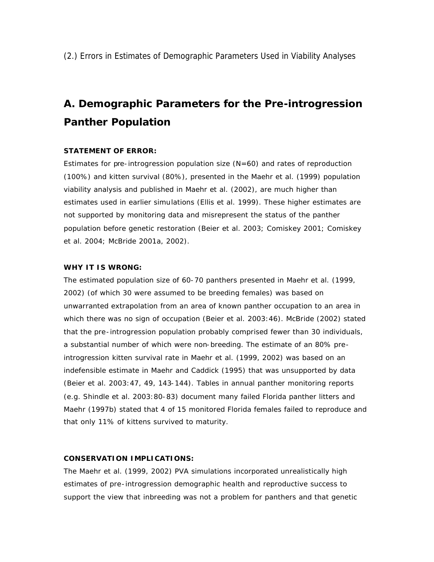# **A. Demographic Parameters for the Pre-introgression Panther Population**

## **STATEMENT OF ERROR:**

Estimates for pre-introgression population size  $(N=60)$  and rates of reproduction (100%) and kitten survival (80%), presented in the Maehr et al. (1999) population viability analysis and published in Maehr et al. (2002), are much higher than estimates used in earlier simulations (Ellis et al. 1999). These higher estimates are not supported by monitoring data and misrepresent the status of the panther population before genetic restoration (Beier et al. 2003; Comiskey 2001; Comiskey et al. 2004; McBride 2001a, 2002).

#### **WHY IT IS WRONG:**

The estimated population size of 60-70 panthers presented in Maehr et al. (1999, 2002) (of which 30 were assumed to be breeding females) was based on unwarranted extrapolation from an area of known panther occupation to an area in which there was no sign of occupation (Beier et al. 2003:46). McBride (2002) stated that the pre-introgression population probably comprised fewer than 30 individuals, a substantial number of which were non-breeding. The estimate of an 80% preintrogression kitten survival rate in Maehr et al. (1999, 2002) was based on an indefensible estimate in Maehr and Caddick (1995) that was unsupported by data (Beier et al. 2003:47, 49, 143-144). Tables in annual panther monitoring reports (e.g. Shindle et al. 2003:80-83) document many failed Florida panther litters and Maehr (1997b) stated that 4 of 15 monitored Florida females failed to reproduce and that only 11% of kittens survived to maturity.

## **CONSERVATION IMPLICATIONS:**

The Maehr et al. (1999, 2002) PVA simulations incorporated unrealistically high estimates of pre-introgression demographic health and reproductive success to support the view that inbreeding was not a problem for panthers and that genetic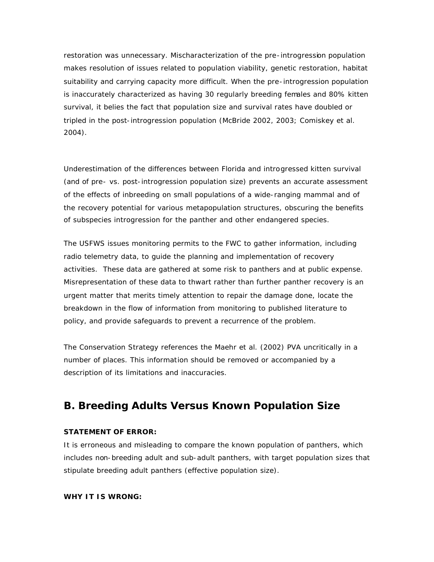restoration was unnecessary. Mischaracterization of the pre-introgression population makes resolution of issues related to population viability, genetic restoration, habitat suitability and carrying capacity more difficult. When the pre-introgression population is inaccurately characterized as having 30 regularly breeding females and 80% kitten survival, it belies the fact that population size and survival rates have doubled or tripled in the post-introgression population (McBride 2002, 2003; Comiskey et al. 2004).

Underestimation of the differences between Florida and introgressed kitten survival (and of pre- vs. post-introgression population size) prevents an accurate assessment of the effects of inbreeding on small populations of a wide-ranging mammal and of the recovery potential for various metapopulation structures, obscuring the benefits of subspecies introgression for the panther and other endangered species.

The USFWS issues monitoring permits to the FWC to gather information, including radio telemetry data, to guide the planning and implementation of recovery activities. These data are gathered at some risk to panthers and at public expense. Misrepresentation of these data to thwart rather than further panther recovery is an urgent matter that merits timely attention to repair the damage done, locate the breakdown in the flow of information from monitoring to published literature to policy, and provide safeguards to prevent a recurrence of the problem.

The Conservation Strategy references the Maehr et al. (2002) PVA uncritically in a number of places. This information should be removed or accompanied by a description of its limitations and inaccuracies.

## **B. Breeding Adults Versus Known Population Size**

#### **STATEMENT OF ERROR:**

It is erroneous and misleading to compare the known population of panthers, which includes non-breeding adult and sub-adult panthers, with target population sizes that stipulate breeding adult panthers (effective population size).

#### **WHY IT IS WRONG:**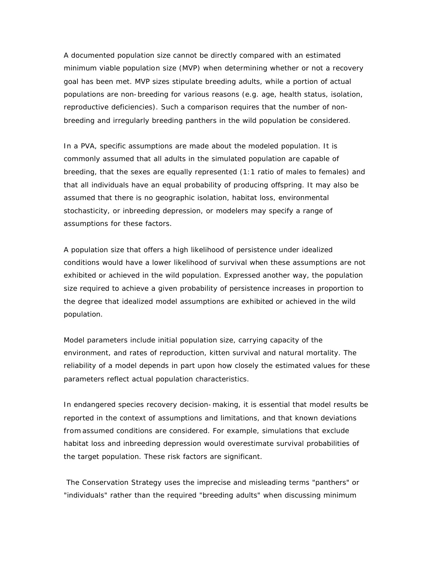A documented population size cannot be directly compared with an estimated minimum viable population size (MVP) when determining whether or not a recovery goal has been met. MVP sizes stipulate breeding adults, while a portion of actual populations are non-breeding for various reasons (e.g. age, health status, isolation, reproductive deficiencies). Such a comparison requires that the number of nonbreeding and irregularly breeding panthers in the wild population be considered.

In a PVA, specific assumptions are made about the modeled population. It is commonly assumed that all adults in the simulated population are capable of breeding, that the sexes are equally represented (1:1 ratio of males to females) and that all individuals have an equal probability of producing offspring. It may also be assumed that there is no geographic isolation, habitat loss, environmental stochasticity, or inbreeding depression, or modelers may specify a range of assumptions for these factors.

A population size that offers a high likelihood of persistence under idealized conditions would have a lower likelihood of survival when these assumptions are not exhibited or achieved in the wild population. Expressed another way, the population size required to achieve a given probability of persistence increases in proportion to the degree that idealized model assumptions are exhibited or achieved in the wild population.

Model parameters include initial population size, carrying capacity of the environment, and rates of reproduction, kitten survival and natural mortality. The reliability of a model depends in part upon how closely the estimated values for these parameters reflect actual population characteristics.

In endangered species recovery decision-making, it is essential that model results be reported in the context of assumptions and limitations, and that known deviations from assumed conditions are considered. For example, simulations that exclude habitat loss and inbreeding depression would overestimate survival probabilities of the target population. These risk factors are significant.

The Conservation Strategy uses the imprecise and misleading terms "panthers" or "individuals" rather than the required "breeding adults" when discussing minimum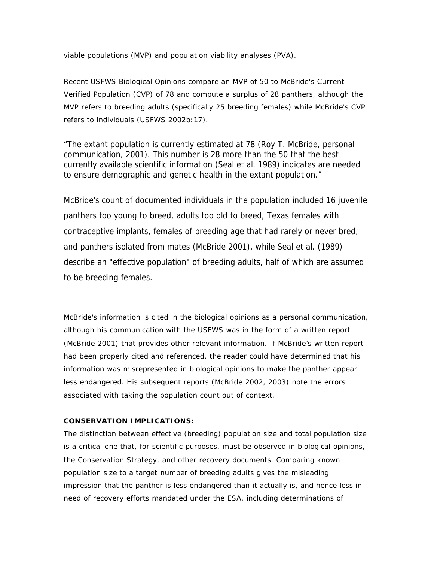viable populations (MVP) and population viability analyses (PVA).

Recent USFWS Biological Opinions compare an MVP of 50 to McBride's Current Verified Population (CVP) of 78 and compute a surplus of 28 panthers, although the MVP refers to breeding adults (specifically 25 breeding females) while McBride's CVP refers to individuals (USFWS 2002b:17).

"The extant population is currently estimated at 78 (Roy T. McBride, personal communication, 2001). This number is 28 more than the 50 that the best currently available scientific information (Seal et al. 1989) indicates are needed to ensure demographic and genetic health in the extant population."

McBride's count of documented individuals in the population included 16 juvenile panthers too young to breed, adults too old to breed, Texas females with contraceptive implants, females of breeding age that had rarely or never bred, and panthers isolated from mates (McBride 2001), while Seal et al. (1989) describe an "effective population" of breeding adults, half of which are assumed to be breeding females.

McBride's information is cited in the biological opinions as a personal communication, although his communication with the USFWS was in the form of a written report (McBride 2001) that provides other relevant information. If McBride's written report had been properly cited and referenced, the reader could have determined that his information was misrepresented in biological opinions to make the panther appear less endangered. His subsequent reports (McBride 2002, 2003) note the errors associated with taking the population count out of context.

## **CONSERVATION IMPLICATIONS:**

The distinction between effective (breeding) population size and total population size is a critical one that, for scientific purposes, must be observed in biological opinions, the Conservation Strategy, and other recovery documents. Comparing known population size to a target number of breeding adults gives the misleading impression that the panther is less endangered than it actually is, and hence less in need of recovery efforts mandated under the ESA, including determinations of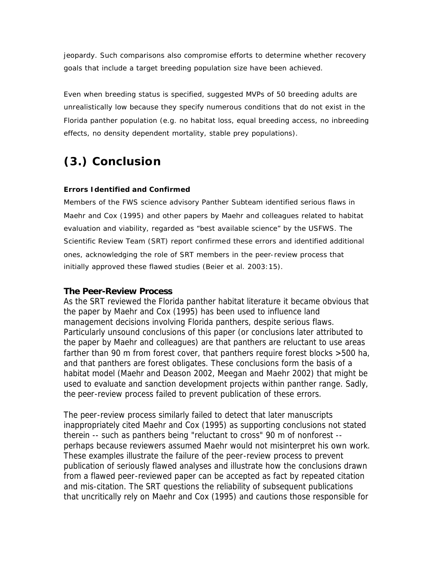jeopardy. Such comparisons also compromise efforts to determine whether recovery goals that include a target breeding population size have been achieved.

Even when breeding status is specified, suggested MVPs of 50 breeding adults are unrealistically low because they specify numerous conditions that do not exist in the Florida panther population (e.g. no habitat loss, equal breeding access, no inbreeding effects, no density dependent mortality, stable prey populations).

# **(3.) Conclusion**

## **Errors Identified and Confirmed**

Members of the FWS science advisory Panther Subteam identified serious flaws in Maehr and Cox (1995) and other papers by Maehr and colleagues related to habitat evaluation and viability, regarded as "best available science" by the USFWS. The Scientific Review Team (SRT) report confirmed these errors and identified additional ones, acknowledging the role of SRT members in the peer-review process that initially approved these flawed studies (Beier et al. 2003:15).

## **The Peer-Review Process**

As the SRT reviewed the Florida panther habitat literature it became obvious that the paper by Maehr and Cox (1995) has been used to influence land management decisions involving Florida panthers, despite serious flaws. Particularly unsound conclusions of this paper (or conclusions later attributed to the paper by Maehr and colleagues) are that panthers are reluctant to use areas farther than 90 m from forest cover, that panthers require forest blocks >500 ha, and that panthers are forest obligates. These conclusions form the basis of a habitat model (Maehr and Deason 2002, Meegan and Maehr 2002) that might be used to evaluate and sanction development projects within panther range. Sadly, the peer-review process failed to prevent publication of these errors.

The peer-review process similarly failed to detect that later manuscripts inappropriately cited Maehr and Cox (1995) as supporting conclusions not stated therein -- such as panthers being "reluctant to cross" 90 m of nonforest - perhaps because reviewers assumed Maehr would not misinterpret his own work. These examples illustrate the failure of the peer-review process to prevent publication of seriously flawed analyses and illustrate how the conclusions drawn from a flawed peer-reviewed paper can be accepted as fact by repeated citation and mis-citation. The SRT questions the reliability of subsequent publications that uncritically rely on Maehr and Cox (1995) and cautions those responsible for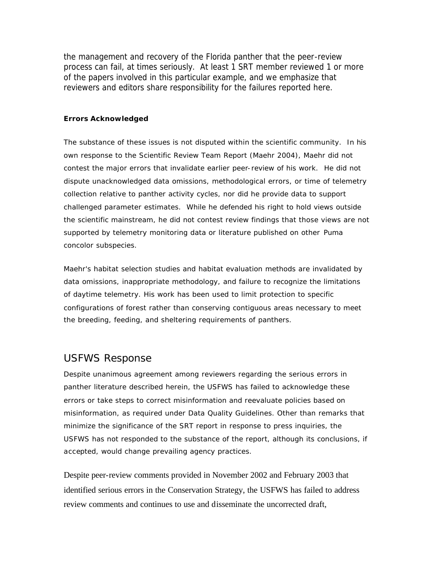the management and recovery of the Florida panther that the peer-review process can fail, at times seriously. At least 1 SRT member reviewed 1 or more of the papers involved in this particular example, and we emphasize that reviewers and editors share responsibility for the failures reported here.

### **Errors Acknowledged**

The substance of these issues is not disputed within the scientific community. In his own response to the Scientific Review Team Report (Maehr 2004), Maehr did not contest the major errors that invalidate earlier peer-review of his work. He did not dispute unacknowledged data omissions, methodological errors, or time of telemetry collection relative to panther activity cycles, nor did he provide data to support challenged parameter estimates. While he defended his right to hold views outside the scientific mainstream, he did not contest review findings that those views are not supported by telemetry monitoring data or literature published on other *Puma concolor* subspecies.

Maehr's habitat selection studies and habitat evaluation methods are invalidated by data omissions, inappropriate methodology, and failure to recognize the limitations of daytime telemetry. His work has been used to limit protection to specific configurations of forest rather than conserving contiguous areas necessary to meet the breeding, feeding, and sheltering requirements of panthers.

## USFWS Response

Despite unanimous agreement among reviewers regarding the serious errors in panther literature described herein, the USFWS has failed to acknowledge these errors or take steps to correct misinformation and reevaluate policies based on misinformation, as required under Data Quality Guidelines. Other than remarks that minimize the significance of the SRT report in response to press inquiries, the USFWS has not responded to the substance of the report, although its conclusions, if accepted, would change prevailing agency practices.

Despite peer-review comments provided in November 2002 and February 2003 that identified serious errors in the Conservation Strategy, the USFWS has failed to address review comments and continues to use and disseminate the uncorrected draft,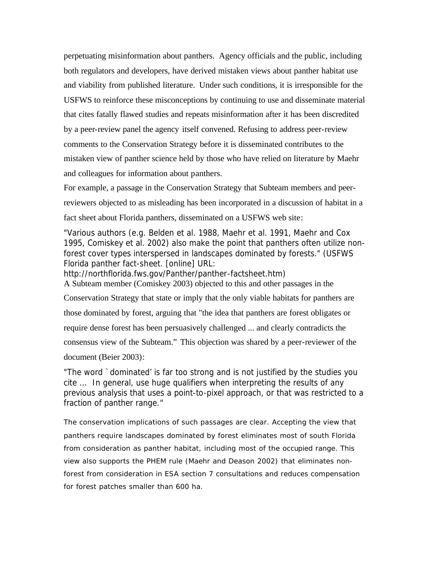perpetuating misinformation about panthers. Agency officials and the public, including both regulators and developers, have derived mistaken views about panther habitat use and viability from published literature. Under such conditions, it is irresponsible for the USFWS to reinforce these misconceptions by continuing to use and disseminate material that cites fatally flawed studies and repeats misinformation after it has been discredited by a peer-review panel the agency itself convened. Refusing to address peer-review comments to the Conservation Strategy before it is disseminated contributes to the mistaken view of panther science held by those who have relied on literature by Maehr and colleagues for information about panthers.

For example, a passage in the Conservation Strategy that Subteam members and peerreviewers objected to as misleading has been incorporated in a discussion of habitat in a fact sheet about Florida panthers, disseminated on a USFWS web site:

"Various authors (e.g. Belden et al. 1988, Maehr et al. 1991, Maehr and Cox 1995, Comiskey et al. 2002) also make the point that panthers often utilize nonforest cover types interspersed in landscapes dominated by forests." (USFWS Florida panther fact-sheet. [online] URL:

http://northflorida.fws.gov/Panther/panther-factsheet.htm) A Subteam member (Comiskey 2003) objected to this and other passages in the Conservation Strategy that state or imply that the only viable habitats for panthers are those dominated by forest, arguing that "the idea that panthers are forest obligates or require dense forest has been persuasively challenged ... and clearly contradicts the consensus view of the Subteam." This objection was shared by a peer-reviewer of the document (Beier 2003):

"The word `dominated' is far too strong and is not justified by the studies you cite ... In general, use huge qualifiers when interpreting the results of any previous analysis that uses a point-to-pixel approach, or that was restricted to a fraction of panther range."

The conservation implications of such passages are clear. Accepting the view that panthers require landscapes dominated by forest eliminates most of south Florida from consideration as panther habitat, including most of the occupied range. This view also supports the PHEM rule (Maehr and Deason 2002) that eliminates nonforest from consideration in ESA section 7 consultations and reduces compensation for forest patches smaller than 600 ha.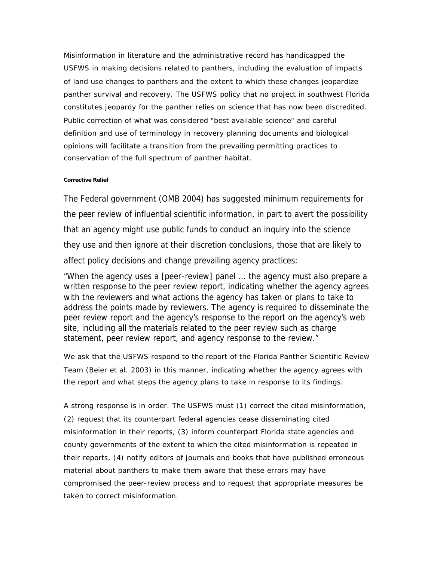Misinformation in literature and the administrative record has handicapped the USFWS in making decisions related to panthers, including the evaluation of impacts of land use changes to panthers and the extent to which these changes jeopardize panther survival and recovery. The USFWS policy that no project in southwest Florida constitutes jeopardy for the panther relies on science that has now been discredited. Public correction of what was considered "best available science" and careful definition and use of terminology in recovery planning documents and biological opinions will facilitate a transition from the prevailing permitting practices to conservation of the full spectrum of panther habitat.

#### **Corrective Relief**

The Federal government (OMB 2004) has suggested minimum requirements for the peer review of influential scientific information, in part to avert the possibility that an agency might use public funds to conduct an inquiry into the science they use and then ignore at their discretion conclusions, those that are likely to affect policy decisions and change prevailing agency practices:

"When the agency uses a [peer-review] panel ... the agency must also prepare a written response to the peer review report, indicating whether the agency agrees with the reviewers and what actions the agency has taken or plans to take to address the points made by reviewers. The agency is required to disseminate the peer review report and the agency's response to the report on the agency's web site, including all the materials related to the peer review such as charge statement, peer review report, and agency response to the review."

We ask that the USFWS respond to the report of the Florida Panther Scientific Review Team (Beier et al. 2003) in this manner, indicating whether the agency agrees with the report and what steps the agency plans to take in response to its findings.

A strong response is in order. The USFWS must (1) correct the cited misinformation, (2) request that its counterpart federal agencies cease disseminating cited misinformation in their reports, (3) inform counterpart Florida state agencies and county governments of the extent to which the cited misinformation is repeated in their reports, (4) notify editors of journals and books that have published erroneous material about panthers to make them aware that these errors may have compromised the peer-review process and to request that appropriate measures be taken to correct misinformation.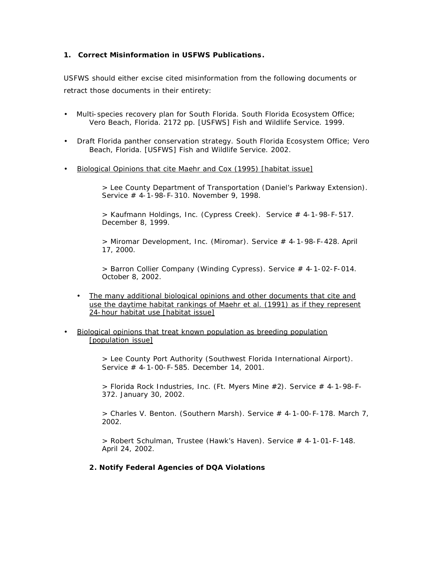## **1. Correct Misinformation in USFWS Publications.**

USFWS should either excise cited misinformation from the following documents or retract those documents in their entirety:

- Multi-species recovery plan for South Florida. South Florida Ecosystem Office; Vero Beach, Florida. 2172 pp. [USFWS] Fish and Wildlife Service. 1999.
- Draft Florida panther conservation strategy. South Florida Ecosystem Office; Vero Beach, Florida. [USFWS] Fish and Wildlife Service. 2002.
- Biological Opinions that cite Maehr and Cox (1995) [habitat issue]

> Lee County Department of Transportation (Daniel's Parkway Extension). Service # 4-1-98-F-310. November 9, 1998.

> Kaufmann Holdings, Inc. (Cypress Creek). Service # 4-1-98-F-517. December 8, 1999.

> Miromar Development, Inc. (Miromar). Service # 4-1-98-F-428. April 17, 2000.

> Barron Collier Company (Winding Cypress). Service # 4-1-02-F-014. October 8, 2002.

- The many additional biological opinions and other documents that cite and use the daytime habitat rankings of Maehr et al. (1991) as if they represent 24-hour habitat use [habitat issue]
- Biological opinions that treat known population as breeding population [population issue]

> Lee County Port Authority (Southwest Florida International Airport). Service # 4-1-00-F-585. December 14, 2001.

> Florida Rock Industries, Inc. (Ft. Myers Mine #2). Service # 4-1-98-F-372. January 30, 2002.

 $>$  Charles V. Benton. (Southern Marsh). Service  $#$  4-1-00-F-178. March 7, 2002.

> Robert Schulman, Trustee (Hawk's Haven). Service # 4-1-01-F-148. April 24, 2002.

#### **2. Notify Federal Agencies of DQA Violations**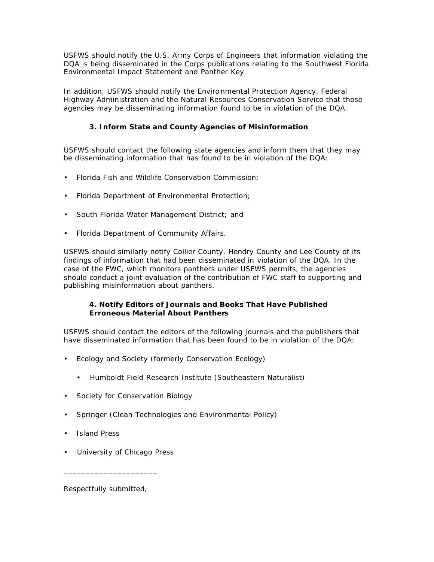USFWS should notify the U.S. Army Corps of Engineers that information violating the DQA is being disseminated in the Corps publications relating to the Southwest Florida Environmental Impact Statement and Panther Key.

In addition, USFWS should notify the Environmental Protection Agency, Federal Highway Administration and the Natural Resources Conservation Service that those agencies may be disseminating information found to be in violation of the DQA.

## **3. Inform State and County Agencies of Misinformation**

USFWS should contact the following state agencies and inform them that they may be disseminating information that has found to be in violation of the DQA:

- Florida Fish and Wildlife Conservation Commission;
- Florida Department of Environmental Protection;
- South Florida Water Management District; and
- Florida Department of Community Affairs.

USFWS should similarly notify Collier County, Hendry County and Lee County of its findings of information that had been disseminated in violation of the DQA. In the case of the FWC, which monitors panthers under USFWS permits, the agencies should conduct a joint evaluation of the contribution of FWC staff to supporting and publishing misinformation about panthers.

## **4. Notify Editors of Journals and Books That Have Published Erroneous Material About Panthers**

USFWS should contact the editors of the following journals and the publishers that have disseminated information that has been found to be in violation of the DQA:

- Ecology and Society (formerly Conservation Ecology)
	- Humboldt Field Research Institute (Southeastern Naturalist)
- Society for Conservation Biology
- Springer (Clean Technologies and Environmental Policy)
- Island Press
- University of Chicago Press

Respectfully submitted,

\_\_\_\_\_\_\_\_\_\_\_\_\_\_\_\_\_\_\_\_\_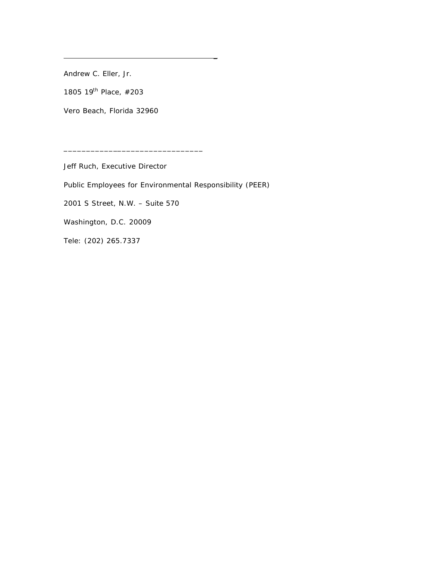Andrew C. Eller, Jr.

1805 19<sup>th</sup> Place, #203

Vero Beach, Florida 32960

\_

Jeff Ruch, Executive Director

\_\_\_\_\_\_\_\_\_\_\_\_\_\_\_\_\_\_\_\_\_\_\_\_\_\_\_\_\_\_\_

Public Employees for Environmental Responsibility (PEER)

2001 S Street, N.W. – Suite 570

Washington, D.C. 20009

Tele: (202) 265.7337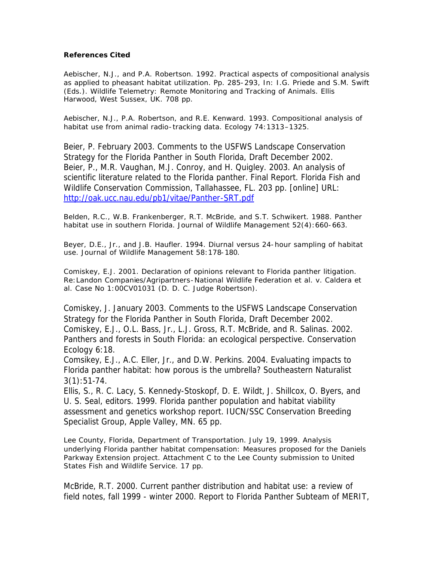## **References Cited**

Aebischer, N.J., and P.A. Robertson. 1992. Practical aspects of compositional analysis as applied to pheasant habitat utilization. Pp. 285-293, In: I.G. Priede and S.M. Swift (Eds.). Wildlife Telemetry: Remote Monitoring and Tracking of Animals. Ellis Harwood, West Sussex, UK. 708 pp.

Aebischer, N.J., P.A. Robertson, and R.E. Kenward. 1993. Compositional analysis of habitat use from animal radio-tracking data. Ecology 74:1313–1325.

Beier, P. February 2003. Comments to the USFWS Landscape Conservation Strategy for the Florida Panther in South Florida, Draft December 2002. Beier, P., M.R. Vaughan, M.J. Conroy, and H. Quigley. 2003. An analysis of scientific literature related to the Florida panther. Final Report. Florida Fish and Wildlife Conservation Commission, Tallahassee, FL. 203 pp. [online] URL: http://oak.ucc.nau.edu/pb1/vitae/Panther-SRT.pdf

Belden, R.C., W.B. Frankenberger, R.T. McBride, and S.T. Schwikert. 1988. Panther habitat use in southern Florida. Journal of Wildlife Management 52(4):660-663.

Beyer, D.E., Jr., and J.B. Haufler. 1994. Diurnal versus 24-hour sampling of habitat use. Journal of Wildlife Management 58:178-180.

Comiskey, E.J. 2001. Declaration of opinions relevant to Florida panther litigation. Re:Landon Companies/Agripartners-National Wildlife Federation et al. v. Caldera et al. Case No 1:00CV01031 (D. D. C. Judge Robertson).

Comiskey, J. January 2003. Comments to the USFWS Landscape Conservation Strategy for the Florida Panther in South Florida, Draft December 2002. Comiskey, E.J., O.L. Bass, Jr., L.J. Gross, R.T. McBride, and R. Salinas. 2002. Panthers and forests in South Florida: an ecological perspective. Conservation Ecology 6:18.

Comsikey, E.J., A.C. Eller, Jr., and D.W. Perkins. 2004. Evaluating impacts to Florida panther habitat: how porous is the umbrella? Southeastern Naturalist  $3(1):51-74.$ 

Ellis, S., R. C. Lacy, S. Kennedy-Stoskopf, D. E. Wildt, J. Shillcox, O. Byers, and U. S. Seal, editors. 1999. Florida panther population and habitat viability assessment and genetics workshop report. IUCN/SSC Conservation Breeding Specialist Group, Apple Valley, MN. 65 pp.

Lee County, Florida, Department of Transportation. July 19, 1999. Analysis underlying Florida panther habitat compensation: Measures proposed for the Daniels Parkway Extension project. Attachment C to the Lee County submission to United States Fish and Wildlife Service. 17 pp.

McBride, R.T. 2000. Current panther distribution and habitat use: a review of field notes, fall 1999 - winter 2000. Report to Florida Panther Subteam of MERIT,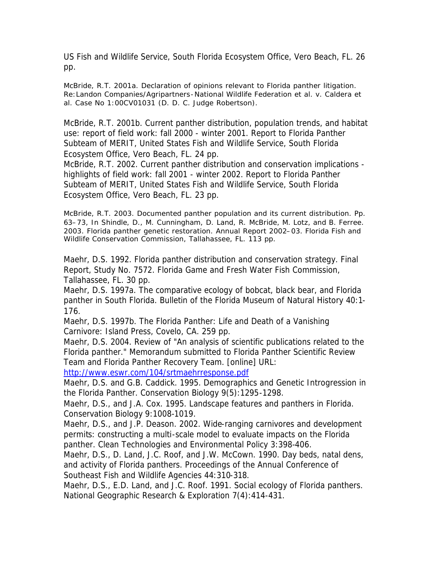US Fish and Wildlife Service, South Florida Ecosystem Office, Vero Beach, FL. 26 pp.

McBride, R.T. 2001a. Declaration of opinions relevant to Florida panther litigation. Re:Landon Companies/Agripartners-National Wildlife Federation et al. v. Caldera et al. Case No 1:00CV01031 (D. D. C. Judge Robertson).

McBride, R.T. 2001b. Current panther distribution, population trends, and habitat use: report of field work: fall 2000 - winter 2001. Report to Florida Panther Subteam of MERIT, United States Fish and Wildlife Service, South Florida Ecosystem Office, Vero Beach, FL. 24 pp.

McBride, R.T. 2002. Current panther distribution and conservation implications highlights of field work: fall 2001 - winter 2002. Report to Florida Panther Subteam of MERIT, United States Fish and Wildlife Service, South Florida Ecosystem Office, Vero Beach, FL. 23 pp.

McBride, R.T. 2003. Documented panther population and its current distribution. Pp. 63–73, In Shindle, D., M. Cunningham, D. Land, R. McBride, M. Lotz, and B. Ferree. 2003. Florida panther genetic restoration. Annual Report 2002–03. Florida Fish and Wildlife Conservation Commission, Tallahassee, FL. 113 pp.

Maehr, D.S. 1992. Florida panther distribution and conservation strategy. Final Report, Study No. 7572. Florida Game and Fresh Water Fish Commission, Tallahassee, FL. 30 pp.

Maehr, D.S. 1997a. The comparative ecology of bobcat, black bear, and Florida panther in South Florida. Bulletin of the Florida Museum of Natural History 40:1- 176.

Maehr, D.S. 1997b. The Florida Panther: Life and Death of a Vanishing Carnivore: Island Press, Covelo, CA. 259 pp.

Maehr, D.S. 2004. Review of "An analysis of scientific publications related to the Florida panther." Memorandum submitted to Florida Panther Scientific Review Team and Florida Panther Recovery Team. [online] URL:

http://www.eswr.com/104/srtmaehrresponse.pdf

Maehr, D.S. and G.B. Caddick. 1995. Demographics and Genetic Introgression in the Florida Panther. Conservation Biology 9(5):1295-1298.

Maehr, D.S., and J.A. Cox. 1995. Landscape features and panthers in Florida. Conservation Biology 9:1008-1019.

Maehr, D.S., and J.P. Deason. 2002. Wide-ranging carnivores and development permits: constructing a multi-scale model to evaluate impacts on the Florida panther. Clean Technologies and Environmental Policy 3:398-406.

Maehr, D.S., D. Land, J.C. Roof, and J.W. McCown. 1990. Day beds, natal dens, and activity of Florida panthers. Proceedings of the Annual Conference of Southeast Fish and Wildlife Agencies 44:310-318.

Maehr, D.S., E.D. Land, and J.C. Roof. 1991. Social ecology of Florida panthers. National Geographic Research & Exploration 7(4):414-431.